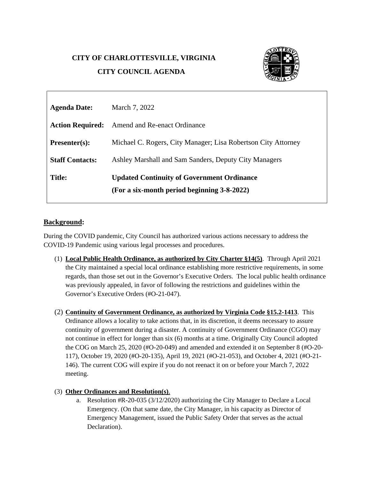## **CITY OF CHARLOTTESVILLE, VIRGINIA**

# **CITY COUNCIL AGENDA**



| <b>Agenda Date:</b>     | March 7, 2022                                                 |
|-------------------------|---------------------------------------------------------------|
| <b>Action Required:</b> | Amend and Re-enact Ordinance                                  |
| <b>Presenter(s):</b>    | Michael C. Rogers, City Manager; Lisa Robertson City Attorney |
| <b>Staff Contacts:</b>  | Ashley Marshall and Sam Sanders, Deputy City Managers         |
| <b>Title:</b>           | <b>Updated Continuity of Government Ordinance</b>             |
|                         | (For a six-month period beginning 3-8-2022)                   |

#### **Background:**

During the COVID pandemic, City Council has authorized various actions necessary to address the COVID-19 Pandemic using various legal processes and procedures.

- (1) **Local Public Health Ordinance, as authorized by City Charter §14(5)**. Through April 2021 the City maintained a special local ordinance establishing more restrictive requirements, in some regards, than those set out in the Governor's Executive Orders. The local public health ordinance was previously appealed, in favor of following the restrictions and guidelines within the Governor's Executive Orders (#O-21-047).
- (2) **Continuity of Government Ordinance, as authorized by Virginia Code §15.2-1413**. This Ordinance allows a locality to take actions that, in its discretion, it deems necessary to assure continuity of government during a disaster. A continuity of Government Ordinance (CGO) may not continue in effect for longer than six (6) months at a time. Originally City Council adopted the COG on March 25, 2020 (#O-20-049) and amended and extended it on September 8 (#O-20- 117), October 19, 2020 (#O-20-135), April 19, 2021 (#O-21-053), and October 4, 2021 (#O-21- 146). The current COG will expire if you do not reenact it on or before your March 7, 2022 meeting.

#### (3) **Other Ordinances and Resolution(s)**.

a. Resolution #R-20-035 (3/12/2020) authorizing the City Manager to Declare a Local Emergency. (On that same date, the City Manager, in his capacity as Director of Emergency Management, issued the Public Safety Order that serves as the actual Declaration).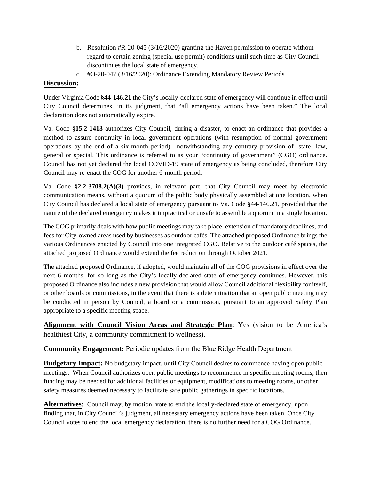- b. Resolution #R-20-045 (3/16/2020) granting the Haven permission to operate without regard to certain zoning (special use permit) conditions until such time as City Council discontinues the local state of emergency.
- c. #O-20-047 (3/16/2020): Ordinance Extending Mandatory Review Periods

## **Discussion:**

Under Virginia Code **§44-146.21** the City's locally-declared state of emergency will continue in effect until City Council determines, in its judgment, that "all emergency actions have been taken." The local declaration does not automatically expire.

Va. Code **§15.2-1413** authorizes City Council, during a disaster, to enact an ordinance that provides a method to assure continuity in local government operations (with resumption of normal government operations by the end of a six-month period)—notwithstanding any contrary provision of [state] law, general or special. This ordinance is referred to as your "continuity of government" (CGO) ordinance. Council has not yet declared the local COVID-19 state of emergency as being concluded, therefore City Council may re-enact the COG for another 6-month period.

Va. Code **§2.2-3708.2(A)(3)** provides, in relevant part, that City Council may meet by electronic communication means, without a quorum of the public body physically assembled at one location, when City Council has declared a local state of emergency pursuant to Va. Code §44-146.21, provided that the nature of the declared emergency makes it impractical or unsafe to assemble a quorum in a single location.

The COG primarily deals with how public meetings may take place, extension of mandatory deadlines, and fees for City-owned areas used by businesses as outdoor cafés. The attached proposed Ordinance brings the various Ordinances enacted by Council into one integrated CGO. Relative to the outdoor café spaces, the attached proposed Ordinance would extend the fee reduction through October 2021.

The attached proposed Ordinance, if adopted, would maintain all of the COG provisions in effect over the next 6 months, for so long as the City's locally-declared state of emergency continues. However, this proposed Ordinance also includes a new provision that would allow Council additional flexibility for itself, or other boards or commissions, in the event that there is a determination that an open public meeting may be conducted in person by Council, a board or a commission, pursuant to an approved Safety Plan appropriate to a specific meeting space.

**Alignment with Council Vision Areas and Strategic Plan:** Yes (vision to be America's healthiest City, a community commitment to wellness).

## **Community Engagement:** Periodic updates from the Blue Ridge Health Department

**Budgetary Impact:** No budgetary impact, until City Council desires to commence having open public meetings. When Council authorizes open public meetings to recommence in specific meeting rooms, then funding may be needed for additional facilities or equipment, modifications to meeting rooms, or other safety measures deemed necessary to facilitate safe public gatherings in specific locations.

**Alternatives**: Council may, by motion, vote to end the locally-declared state of emergency, upon finding that, in City Council's judgment, all necessary emergency actions have been taken. Once City Council votes to end the local emergency declaration, there is no further need for a COG Ordinance.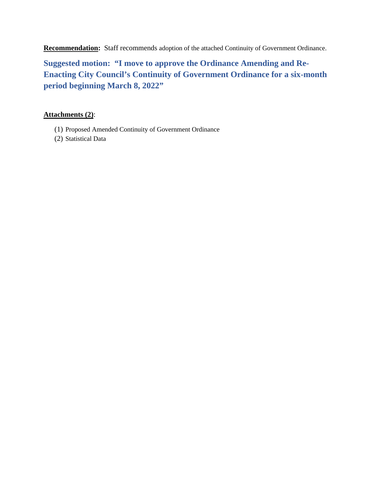**Recommendation:** Staff recommends adoption of the attached Continuity of Government Ordinance.

**Suggested motion: "I move to approve the Ordinance Amending and Re-Enacting City Council's Continuity of Government Ordinance for a six-month period beginning March 8, 2022"** 

# **Attachments (2)**:

- (1) Proposed Amended Continuity of Government Ordinance
- (2) Statistical Data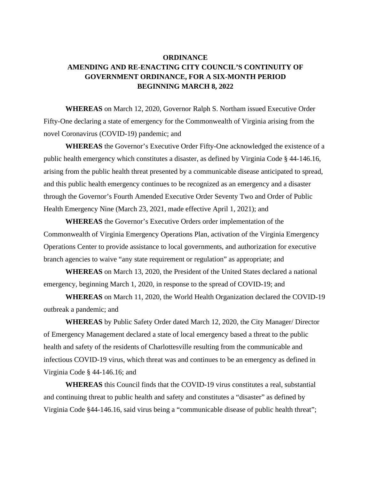# **ORDINANCE AMENDING AND RE-ENACTING CITY COUNCIL'S CONTINUITY OF GOVERNMENT ORDINANCE, FOR A SIX-MONTH PERIOD BEGINNING MARCH 8, 2022**

**WHEREAS** on March 12, 2020, Governor Ralph S. Northam issued Executive Order Fifty-One declaring a state of emergency for the Commonwealth of Virginia arising from the novel Coronavirus (COVID-19) pandemic; and

**WHEREAS** the Governor's Executive Order Fifty-One acknowledged the existence of a public health emergency which constitutes a disaster, as defined by Virginia Code § 44-146.16, arising from the public health threat presented by a communicable disease anticipated to spread, and this public health emergency continues to be recognized as an emergency and a disaster through the Governor's Fourth Amended Executive Order Seventy Two and Order of Public Health Emergency Nine (March 23, 2021, made effective April 1, 2021); and

**WHEREAS** the Governor's Executive Orders order implementation of the Commonwealth of Virginia Emergency Operations Plan, activation of the Virginia Emergency Operations Center to provide assistance to local governments, and authorization for executive branch agencies to waive "any state requirement or regulation" as appropriate; and

**WHEREAS** on March 13, 2020, the President of the United States declared a national emergency, beginning March 1, 2020, in response to the spread of COVID-19; and

**WHEREAS** on March 11, 2020, the World Health Organization declared the COVID-19 outbreak a pandemic; and

**WHEREAS** by Public Safety Order dated March 12, 2020, the City Manager/ Director of Emergency Management declared a state of local emergency based a threat to the public health and safety of the residents of Charlottesville resulting from the communicable and infectious COVID-19 virus, which threat was and continues to be an emergency as defined in Virginia Code § 44-146.16; and

**WHEREAS** this Council finds that the COVID-19 virus constitutes a real, substantial and continuing threat to public health and safety and constitutes a "disaster" as defined by Virginia Code §44-146.16, said virus being a "communicable disease of public health threat";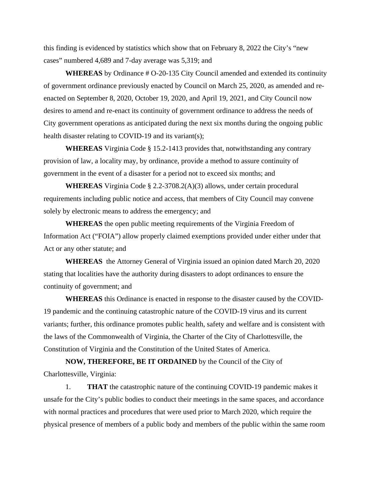this finding is evidenced by statistics which show that on February 8, 2022 the City's "new cases" numbered 4,689 and 7-day average was 5,319; and

**WHEREAS** by Ordinance # O-20-135 City Council amended and extended its continuity of government ordinance previously enacted by Council on March 25, 2020, as amended and reenacted on September 8, 2020, October 19, 2020, and April 19, 2021, and City Council now desires to amend and re-enact its continuity of government ordinance to address the needs of City government operations as anticipated during the next six months during the ongoing public health disaster relating to COVID-19 and its variant(s);

**WHEREAS** Virginia Code § 15.2-1413 provides that, notwithstanding any contrary provision of law, a locality may, by ordinance, provide a method to assure continuity of government in the event of a disaster for a period not to exceed six months; and

**WHEREAS** Virginia Code § 2.2-3708.2(A)(3) allows, under certain procedural requirements including public notice and access, that members of City Council may convene solely by electronic means to address the emergency; and

**WHEREAS** the open public meeting requirements of the Virginia Freedom of Information Act ("FOIA") allow properly claimed exemptions provided under either under that Act or any other statute; and

**WHEREAS** the Attorney General of Virginia issued an opinion dated March 20, 2020 stating that localities have the authority during disasters to adopt ordinances to ensure the continuity of government; and

**WHEREAS** this Ordinance is enacted in response to the disaster caused by the COVID-19 pandemic and the continuing catastrophic nature of the COVID-19 virus and its current variants; further, this ordinance promotes public health, safety and welfare and is consistent with the laws of the Commonwealth of Virginia, the Charter of the City of Charlottesville, the Constitution of Virginia and the Constitution of the United States of America.

**NOW, THEREFORE, BE IT ORDAINED** by the Council of the City of Charlottesville, Virginia:

1. **THAT** the catastrophic nature of the continuing COVID-19 pandemic makes it unsafe for the City's public bodies to conduct their meetings in the same spaces, and accordance with normal practices and procedures that were used prior to March 2020, which require the physical presence of members of a public body and members of the public within the same room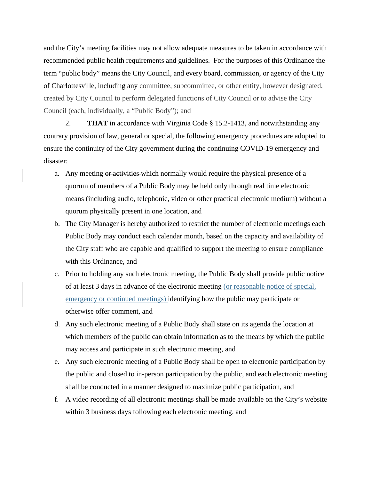and the City's meeting facilities may not allow adequate measures to be taken in accordance with recommended public health requirements and guidelines. For the purposes of this Ordinance the term "public body" means the City Council, and every board, commission, or agency of the City of Charlottesville, including any committee, subcommittee, or other entity, however designated, created by City Council to perform delegated functions of City Council or to advise the City Council (each, individually, a "Public Body"); and

2. **THAT** in accordance with Virginia Code § 15.2-1413, and notwithstanding any contrary provision of law, general or special, the following emergency procedures are adopted to ensure the continuity of the City government during the continuing COVID-19 emergency and disaster:

- a. Any meeting or activities which normally would require the physical presence of a quorum of members of a Public Body may be held only through real time electronic means (including audio, telephonic, video or other practical electronic medium) without a quorum physically present in one location, and
- b. The City Manager is hereby authorized to restrict the number of electronic meetings each Public Body may conduct each calendar month, based on the capacity and availability of the City staff who are capable and qualified to support the meeting to ensure compliance with this Ordinance, and
- c. Prior to holding any such electronic meeting, the Public Body shall provide public notice of at least 3 days in advance of the electronic meeting (or reasonable notice of special, emergency or continued meetings) identifying how the public may participate or otherwise offer comment, and
- d. Any such electronic meeting of a Public Body shall state on its agenda the location at which members of the public can obtain information as to the means by which the public may access and participate in such electronic meeting, and
- e. Any such electronic meeting of a Public Body shall be open to electronic participation by the public and closed to in-person participation by the public, and each electronic meeting shall be conducted in a manner designed to maximize public participation, and
- f. A video recording of all electronic meetings shall be made available on the City's website within 3 business days following each electronic meeting, and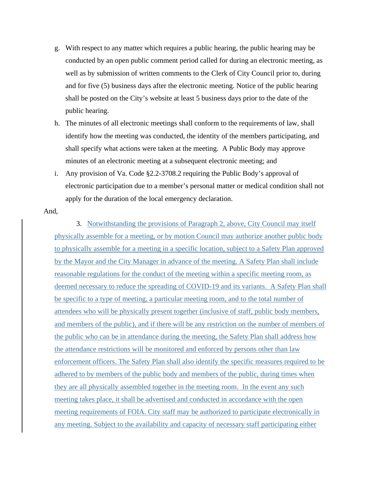- g. With respect to any matter which requires a public hearing, the public hearing may be conducted by an open public comment period called for during an electronic meeting, as well as by submission of written comments to the Clerk of City Council prior to, during and for five (5) business days after the electronic meeting. Notice of the public hearing shall be posted on the City's website at least 5 business days prior to the date of the public hearing.
- h. The minutes of all electronic meetings shall conform to the requirements of law, shall identify how the meeting was conducted, the identity of the members participating, and shall specify what actions were taken at the meeting. A Public Body may approve minutes of an electronic meeting at a subsequent electronic meeting; and
- i. Any provision of Va. Code §2.2-3708.2 requiring the Public Body's approval of electronic participation due to a member's personal matter or medical condition shall not apply for the duration of the local emergency declaration.

#### And,

3. Notwithstanding the provisions of Paragraph 2, above, City Council may itself physically assemble for a meeting, or by motion Council may authorize another public body to physically assemble for a meeting in a specific location, subject to a Safety Plan approved by the Mayor and the City Manager in advance of the meeting. A Safety Plan shall include reasonable regulations for the conduct of the meeting within a specific meeting room, as deemed necessary to reduce the spreading of COVID-19 and its variants. A Safety Plan shall be specific to a type of meeting, a particular meeting room, and to the total number of attendees who will be physically present together (inclusive of staff, public body members, and members of the public), and if there will be any restriction on the number of members of the public who can be in attendance during the meeting, the Safety Plan shall address how the attendance restrictions will be monitored and enforced by persons other than law enforcement officers. The Safety Plan shall also identify the specific measures required to be adhered to by members of the public body and members of the public, during times when they are all physically assembled together in the meeting room. In the event any such meeting takes place, it shall be advertised and conducted in accordance with the open meeting requirements of FOIA. City staff may be authorized to participate electronically in any meeting. Subject to the availability and capacity of necessary staff participating either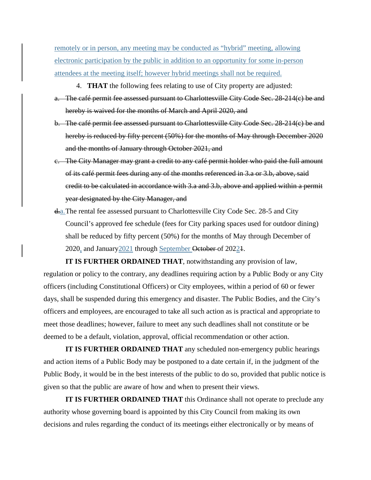remotely or in person, any meeting may be conducted as "hybrid" meeting, allowing electronic participation by the public in addition to an opportunity for some in-person attendees at the meeting itself; however hybrid meetings shall not be required.

- 4. **THAT** the following fees relating to use of City property are adjusted:
- a. The café permit fee assessed pursuant to Charlottesville City Code Sec. 28-214(c) be and hereby is waived for the months of March and April 2020, and
- b. The café permit fee assessed pursuant to Charlottesville City Code Sec. 28-214(c) be and hereby is reduced by fifty percent (50%) for the months of May through December 2020 and the months of January through October 2021, and
- c. The City Manager may grant a credit to any café permit holder who paid the full amount of its café permit fees during any of the months referenced in 3.a or 3.b, above, said credit to be calculated in accordance with 3.a and 3.b, above and applied within a permit year designated by the City Manager, and
- d.a. The rental fee assessed pursuant to Charlottesville City Code Sec. 28-5 and City Council's approved fee schedule (fees for City parking spaces used for outdoor dining) shall be reduced by fifty percent (50%) for the months of May through December of 2020, and January 2021 through September October of 20221.

**IT IS FURTHER ORDAINED THAT**, notwithstanding any provision of law, regulation or policy to the contrary, any deadlines requiring action by a Public Body or any City officers (including Constitutional Officers) or City employees, within a period of 60 or fewer days, shall be suspended during this emergency and disaster. The Public Bodies, and the City's officers and employees, are encouraged to take all such action as is practical and appropriate to meet those deadlines; however, failure to meet any such deadlines shall not constitute or be deemed to be a default, violation, approval, official recommendation or other action.

**IT IS FURTHER ORDAINED THAT** any scheduled non-emergency public hearings and action items of a Public Body may be postponed to a date certain if, in the judgment of the Public Body, it would be in the best interests of the public to do so, provided that public notice is given so that the public are aware of how and when to present their views.

**IT IS FURTHER ORDAINED THAT** this Ordinance shall not operate to preclude any authority whose governing board is appointed by this City Council from making its own decisions and rules regarding the conduct of its meetings either electronically or by means of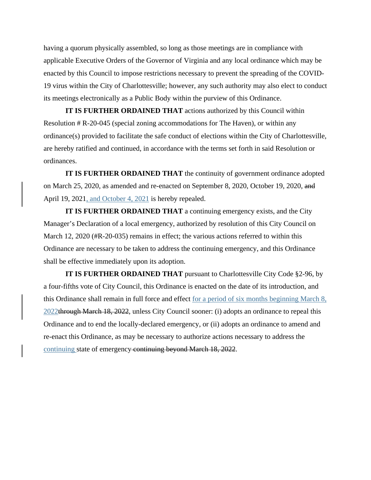having a quorum physically assembled, so long as those meetings are in compliance with applicable Executive Orders of the Governor of Virginia and any local ordinance which may be enacted by this Council to impose restrictions necessary to prevent the spreading of the COVID-19 virus within the City of Charlottesville; however, any such authority may also elect to conduct its meetings electronically as a Public Body within the purview of this Ordinance.

**IT IS FURTHER ORDAINED THAT** actions authorized by this Council within Resolution # R-20-045 (special zoning accommodations for The Haven), or within any ordinance(s) provided to facilitate the safe conduct of elections within the City of Charlottesville, are hereby ratified and continued, in accordance with the terms set forth in said Resolution or ordinances.

**IT IS FURTHER ORDAINED THAT** the continuity of government ordinance adopted on March 25, 2020, as amended and re-enacted on September 8, 2020, October 19, 2020, and April 19, 2021, and October 4, 2021 is hereby repealed.

**IT IS FURTHER ORDAINED THAT** a continuing emergency exists, and the City Manager's Declaration of a local emergency, authorized by resolution of this City Council on March 12, 2020 (#R-20-035) remains in effect; the various actions referred to within this Ordinance are necessary to be taken to address the continuing emergency, and this Ordinance shall be effective immediately upon its adoption.

**IT IS FURTHER ORDAINED THAT** pursuant to Charlottesville City Code §2-96, by a four-fifths vote of City Council, this Ordinance is enacted on the date of its introduction, and this Ordinance shall remain in full force and effect for a period of six months beginning March 8, 2022through March 18, 2022, unless City Council sooner: (i) adopts an ordinance to repeal this Ordinance and to end the locally-declared emergency, or (ii) adopts an ordinance to amend and re-enact this Ordinance, as may be necessary to authorize actions necessary to address the continuing state of emergency continuing beyond March 18, 2022.